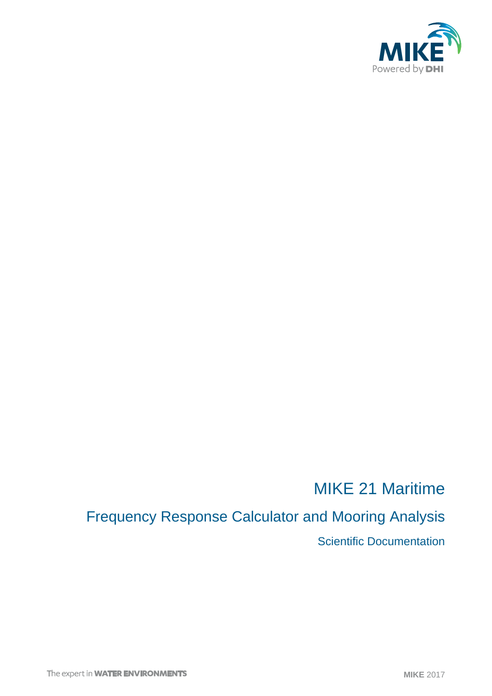

# MIKE 21 Maritime

# Frequency Response Calculator and Mooring Analysis

Scientific Documentation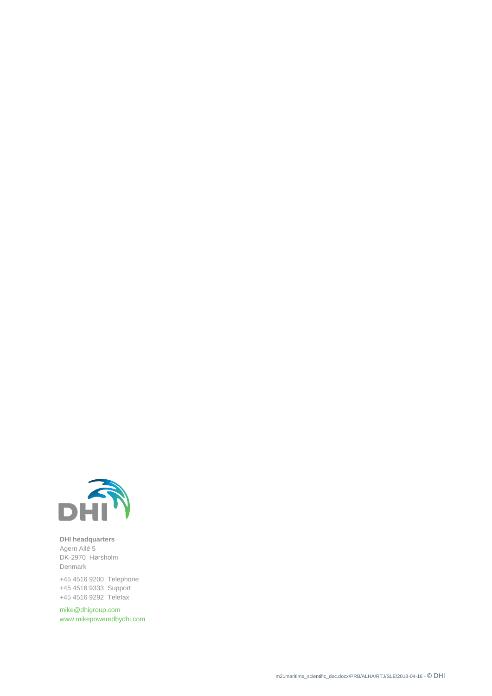

**DHI headquarters** Agern Allé 5 DK-2970 Hørsholm Denmark

+45 4516 9200 Telephone +45 4516 9333 Support +45 4516 9292 Telefax

mike@dhigroup.com www.mikepoweredbydhi.com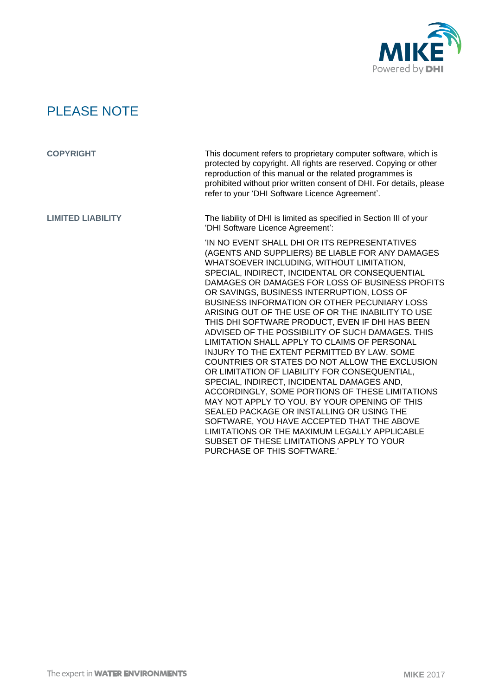

# PLEASE NOTE

| <b>COPYRIGHT</b>         | This document refers to proprietary computer software, which is<br>protected by copyright. All rights are reserved. Copying or other<br>reproduction of this manual or the related programmes is<br>prohibited without prior written consent of DHI. For details, please<br>refer to your 'DHI Software Licence Agreement'.                                                                                                                                                                                                                                                                                                                                                                                                                                                                                                                                                                                                                                                                                                                                                               |
|--------------------------|-------------------------------------------------------------------------------------------------------------------------------------------------------------------------------------------------------------------------------------------------------------------------------------------------------------------------------------------------------------------------------------------------------------------------------------------------------------------------------------------------------------------------------------------------------------------------------------------------------------------------------------------------------------------------------------------------------------------------------------------------------------------------------------------------------------------------------------------------------------------------------------------------------------------------------------------------------------------------------------------------------------------------------------------------------------------------------------------|
| <b>LIMITED LIABILITY</b> | The liability of DHI is limited as specified in Section III of your<br>'DHI Software Licence Agreement':                                                                                                                                                                                                                                                                                                                                                                                                                                                                                                                                                                                                                                                                                                                                                                                                                                                                                                                                                                                  |
|                          | 'IN NO EVENT SHALL DHI OR ITS REPRESENTATIVES<br>(AGENTS AND SUPPLIERS) BE LIABLE FOR ANY DAMAGES<br>WHATSOEVER INCLUDING, WITHOUT LIMITATION,<br>SPECIAL, INDIRECT, INCIDENTAL OR CONSEQUENTIAL<br>DAMAGES OR DAMAGES FOR LOSS OF BUSINESS PROFITS<br>OR SAVINGS, BUSINESS INTERRUPTION, LOSS OF<br>BUSINESS INFORMATION OR OTHER PECUNIARY LOSS.<br>ARISING OUT OF THE USE OF OR THE INABILITY TO USE<br>THIS DHI SOFTWARE PRODUCT, EVEN IF DHI HAS BEEN<br>ADVISED OF THE POSSIBILITY OF SUCH DAMAGES. THIS<br>LIMITATION SHALL APPLY TO CLAIMS OF PERSONAL<br>INJURY TO THE EXTENT PERMITTED BY LAW. SOME<br>COUNTRIES OR STATES DO NOT ALLOW THE EXCLUSION<br>OR LIMITATION OF LIABILITY FOR CONSEQUENTIAL,<br>SPECIAL, INDIRECT, INCIDENTAL DAMAGES AND,<br>ACCORDINGLY, SOME PORTIONS OF THESE LIMITATIONS<br>MAY NOT APPLY TO YOU. BY YOUR OPENING OF THIS<br>SEALED PACKAGE OR INSTALLING OR USING THE<br>SOFTWARE, YOU HAVE ACCEPTED THAT THE ABOVE<br>LIMITATIONS OR THE MAXIMUM LEGALLY APPLICABLE<br>SUBSET OF THESE LIMITATIONS APPLY TO YOUR<br>PURCHASE OF THIS SOFTWARE. |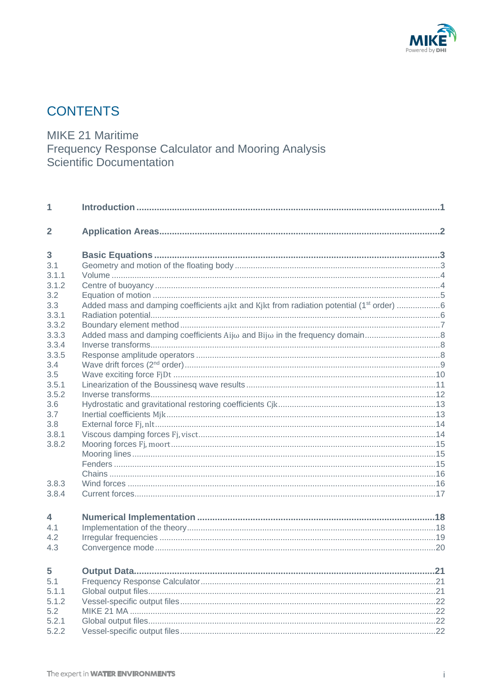

# **CONTENTS**

MIKE 21 Maritime Frequency Response Calculator and Mooring Analysis<br>Scientific Documentation

| 1              |                                                                                                      |     |
|----------------|------------------------------------------------------------------------------------------------------|-----|
| $\overline{2}$ |                                                                                                      |     |
| 3              |                                                                                                      |     |
| 3.1            |                                                                                                      |     |
| 3.1.1          |                                                                                                      |     |
| 3.1.2          |                                                                                                      |     |
| 3.2            |                                                                                                      |     |
| 3.3            | Added mass and damping coefficients ajkt and Kjkt from radiation potential (1 <sup>st</sup> order) 6 |     |
| 3.3.1          |                                                                                                      |     |
| 3.3.2          |                                                                                                      |     |
| 3.3.3          |                                                                                                      |     |
| 3.3.4          |                                                                                                      |     |
| 3.3.5          |                                                                                                      |     |
| 3.4            |                                                                                                      |     |
| 3.5            |                                                                                                      |     |
| 3.5.1          |                                                                                                      |     |
| 3.5.2          |                                                                                                      |     |
| 3.6            |                                                                                                      |     |
| 3.7            |                                                                                                      |     |
| 3.8<br>3.8.1   |                                                                                                      |     |
| 3.8.2          |                                                                                                      |     |
|                |                                                                                                      |     |
|                |                                                                                                      |     |
|                |                                                                                                      |     |
| 3.8.3          |                                                                                                      |     |
| 3.8.4          |                                                                                                      |     |
|                |                                                                                                      |     |
| 4              |                                                                                                      |     |
| 4.1            |                                                                                                      |     |
| 4.2            |                                                                                                      |     |
| 4.3            |                                                                                                      |     |
| 5              |                                                                                                      | .21 |
| 5.1            |                                                                                                      |     |
| 5.1.1          |                                                                                                      |     |
| 5.1.2          |                                                                                                      |     |
| 5.2            |                                                                                                      |     |
| 5.2.1          |                                                                                                      |     |
| 5.2.2          |                                                                                                      |     |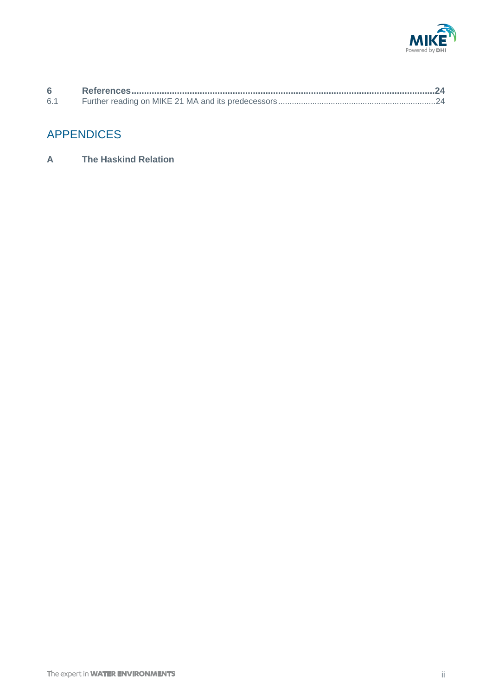

| 6.1 |  |
|-----|--|

## APPENDICES

**A The Haskind Relation**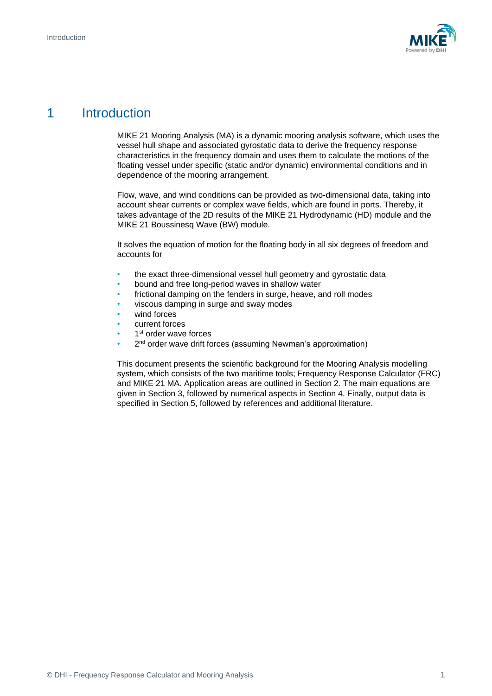

## 1 Introduction

MIKE 21 Mooring Analysis (MA) is a dynamic mooring analysis software, which uses the vessel hull shape and associated gyrostatic data to derive the frequency response characteristics in the frequency domain and uses them to calculate the motions of the floating vessel under specific (static and/or dynamic) environmental conditions and in dependence of the mooring arrangement.

Flow, wave, and wind conditions can be provided as two-dimensional data, taking into account shear currents or complex wave fields, which are found in ports. Thereby, it takes advantage of the 2D results of the MIKE 21 Hydrodynamic (HD) module and the MIKE 21 Boussinesg Wave (BW) module.

It solves the equation of motion for the floating body in all six degrees of freedom and accounts for

- the exact three-dimensional vessel hull geometry and gyrostatic data
- bound and free long-period waves in shallow water
- frictional damping on the fenders in surge, heave, and roll modes
- viscous damping in surge and sway modes
- wind forces
- current forces
- 1<sup>st</sup> order wave forces
- 2<sup>nd</sup> order wave drift forces (assuming Newman's approximation)

This document presents the scientific background for the Mooring Analysis modelling system, which consists of the two maritime tools; Frequency Response Calculator (FRC) and MIKE 21 MA. Application areas are outlined in Section [2.](#page-6-0) The main equations are given in Section [3,](#page-7-0) followed by numerical aspects in Section [4.](#page-22-0) Finally, output data is specified in Sectio[n 5,](#page-25-0) followed by references and additional literature.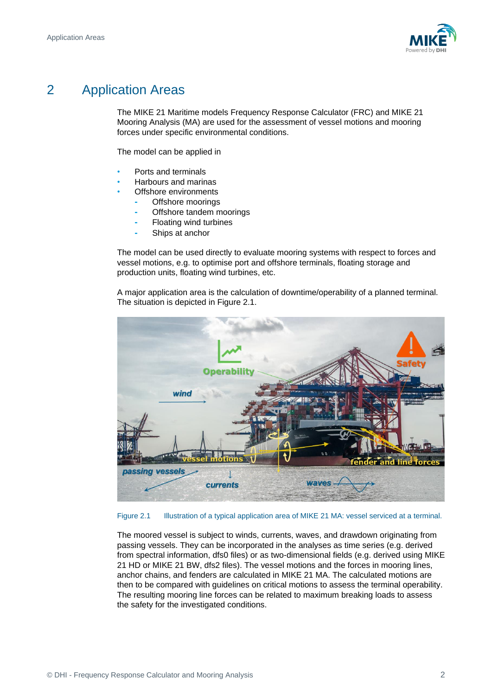

## <span id="page-6-0"></span>2 Application Areas

The MIKE 21 Maritime models Frequency Response Calculator (FRC) and MIKE 21 Mooring Analysis (MA) are used for the assessment of vessel motions and mooring forces under specific environmental conditions.

The model can be applied in

- Ports and terminals
- Harbours and marinas
- Offshore environments
	- **-** Offshore moorings
	- **-** Offshore tandem moorings
	- **-** Floating wind turbines
	- **-** Ships at anchor

The model can be used directly to evaluate mooring systems with respect to forces and vessel motions, e.g. to optimise port and offshore terminals, floating storage and production units, floating wind turbines, etc.

A major application area is the calculation of downtime/operability of a planned terminal. The situation is depicted in [Figure 2.1.](#page-6-1)



Figure 2.1 Illustration of a typical application area of MIKE 21 MA: vessel serviced at a terminal.

<span id="page-6-1"></span>The moored vessel is subject to winds, currents, waves, and drawdown originating from passing vessels. They can be incorporated in the analyses as time series (e.g. derived from spectral information, dfs0 files) or as two-dimensional fields (e.g. derived using MIKE 21 HD or MIKE 21 BW, dfs2 files). The vessel motions and the forces in mooring lines, anchor chains, and fenders are calculated in MIKE 21 MA. The calculated motions are then to be compared with guidelines on critical motions to assess the terminal operability. The resulting mooring line forces can be related to maximum breaking loads to assess the safety for the investigated conditions.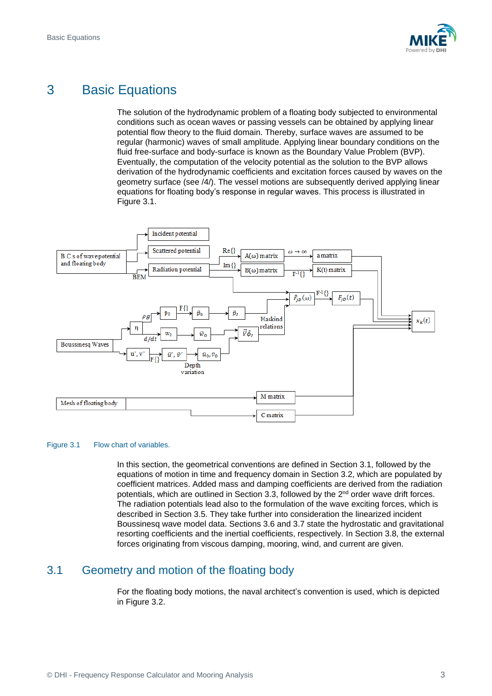

## <span id="page-7-0"></span>3 Basic Equations

The solution of the hydrodynamic problem of a floating body subjected to environmental conditions such as ocean waves or passing vessels can be obtained by applying linear potential flow theory to the fluid domain. Thereby, surface waves are assumed to be regular (harmonic) waves of small amplitude. Applying linear boundary conditions on the fluid free-surface and body-surface is known as the Boundary Value Problem (BVP). Eventually, the computation of the velocity potential as the solution to the BVP allows derivation of the hydrodynamic coefficients and excitation forces caused by waves on the geometry surface (see [/4/\)](#page-28-0). The vessel motions are subsequently derived applying linear equations for floating body's response in regular waves. This process is illustrated in [Figure 3.1.](#page-7-1)



<span id="page-7-1"></span>Figure 3.1 Flow chart of variables.

In this section, the geometrical conventions are defined in Section [3.1,](#page-7-2) followed by the equations of motion in time and frequency domain in Section [3.2,](#page-9-0) which are populated by coefficient matrices. Added mass and damping coefficients are derived from the radiation potentials, which are outlined in Section [3.3,](#page-10-0) followed by the 2nd order wave drift forces. The radiation potentials lead also to the formulation of the wave exciting forces, which is described in Section [3.5.](#page-14-0) They take further into consideration the linearized incident Boussinesq wave model data. Sections [3.6](#page-17-0) an[d 3.7](#page-17-1) state the hydrostatic and gravitational resorting coefficients and the inertial coefficients, respectively. In Section [3.8,](#page-18-0) the external forces originating from viscous damping, mooring, wind, and current are given.

## <span id="page-7-2"></span>3.1 Geometry and motion of the floating body

For the floating body motions, the naval architect's convention is used, which is depicted in [Figure 3.2.](#page-8-0)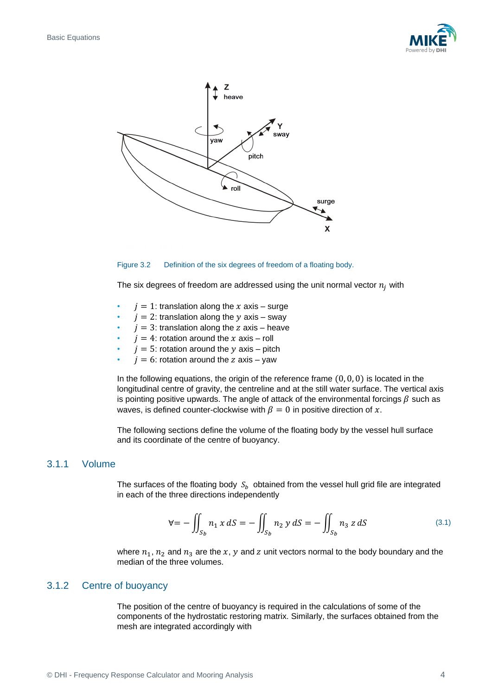



#### <span id="page-8-0"></span>Figure 3.2 Definition of the six degrees of freedom of a floating body.

The six degrees of freedom are addressed using the unit normal vector  $n_i$  with

- $i = 1$ : translation along the x axis surge
- $i = 2$ : translation along the y axis sway
- $i = 3$ : translation along the z axis heave
- $j = 4$ : rotation around the x axis roll
- $j = 5$ : rotation around the y axis pitch
- $i = 6$ : rotation around the z axis yaw

In the following equations, the origin of the reference frame  $(0, 0, 0)$  is located in the longitudinal centre of gravity, the centreline and at the still water surface. The vertical axis is pointing positive upwards. The angle of attack of the environmental forcings  $\beta$  such as waves, is defined counter-clockwise with  $\beta = 0$  in positive direction of x.

The following sections define the volume of the floating body by the vessel hull surface and its coordinate of the centre of buoyancy.

#### 3.1.1 Volume

The surfaces of the floating body  $S_h$  obtained from the vessel hull grid file are integrated in each of the three directions independently

$$
\forall = -\iint_{S_b} n_1 \, x \, dS = -\iint_{S_b} n_2 \, y \, dS = -\iint_{S_b} n_3 \, z \, dS \tag{3.1}
$$

where  $n_1$ ,  $n_2$  and  $n_3$  are the x, y and z unit vectors normal to the body boundary and the median of the three volumes.

### <span id="page-8-1"></span>3.1.2 Centre of buoyancy

The position of the centre of buoyancy is required in the calculations of some of the components of the hydrostatic restoring matrix. Similarly, the surfaces obtained from the mesh are integrated accordingly with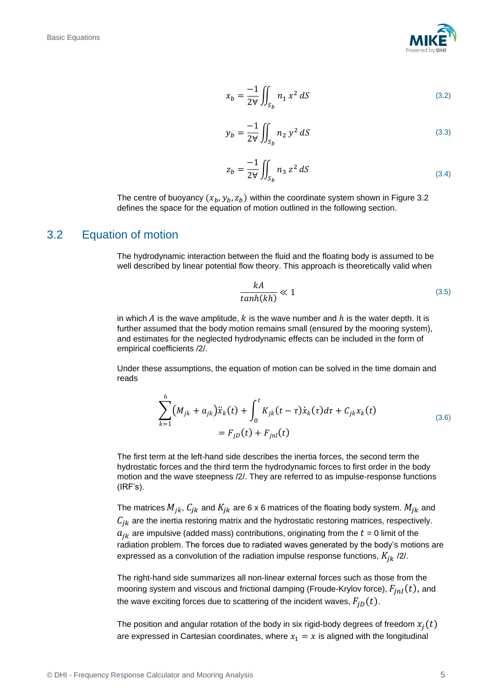

$$
x_b = \frac{-1}{2V} \iint_{S_b} n_1 x^2 dS
$$
 (3.2)

$$
y_b = \frac{-1}{2\forall} \iint_{S_b} n_2 y^2 dS
$$
 (3.3)

$$
z_b = \frac{-1}{2\forall} \iint_{S_b} n_3 z^2 dS \tag{3.4}
$$

The centre of buoyancy  $(x_b, y_b, z_b)$  within the coordinate system shown in [Figure 3.2](#page-8-0) defines the space for the equation of motion outlined in the following section.

### <span id="page-9-0"></span>3.2 Equation of motion

The hydrodynamic interaction between the fluid and the floating body is assumed to be well described by linear potential flow theory. This approach is theoretically valid when

<span id="page-9-1"></span>
$$
\frac{kA}{\tanh(kh)} \ll 1\tag{3.5}
$$

in which A is the wave amplitude,  $k$  is the wave number and  $h$  is the water depth. It is further assumed that the body motion remains small (ensured by the mooring system), and estimates for the neglected hydrodynamic effects can be included in the form of empirical coefficients [/2/.](#page-28-1)

Under these assumptions, the equation of motion can be solved in the time domain and reads

$$
\sum_{k=1}^{6} (M_{jk} + a_{jk}) \ddot{x}_k(t) + \int_0^t K_{jk}(t - \tau) \dot{x}_k(\tau) d\tau + C_{jk} x_k(t) = F_{jD}(t) + F_{jnl}(t)
$$
\n(3.6)

The first term at the left-hand side describes the inertia forces, the second term the hydrostatic forces and the third term the hydrodynamic forces to first order in the body motion and the wave steepness [/2/.](#page-28-1) They are referred to as impulse-response functions (IRF's).

The matrices  $M_{jk}$ ,  $C_{jk}$  and  $K_{jk}$  are 6 x 6 matrices of the floating body system.  $M_{jk}$  and  $C_{ik}$  are the inertia restoring matrix and the hydrostatic restoring matrices, respectively.  $a_{ik}$  are impulsive (added mass) contributions, originating from the  $t = 0$  limit of the radiation problem. The forces due to radiated waves generated by the body's motions are expressed as a convolution of the radiation impulse response functions,  $K_{jk}$  [/2/.](#page-28-1)

The right-hand side summarizes all non-linear external forces such as those from the mooring system and viscous and frictional damping (Froude-Krylov force),  $F_{inl}(t)$ , and the wave exciting forces due to scattering of the incident waves,  $F_{iD}(t)$ .

The position and angular rotation of the body in six rigid-body degrees of freedom  $\overline{x_j}(t)$ are expressed in Cartesian coordinates, where  $x_1 = x$  is aligned with the longitudinal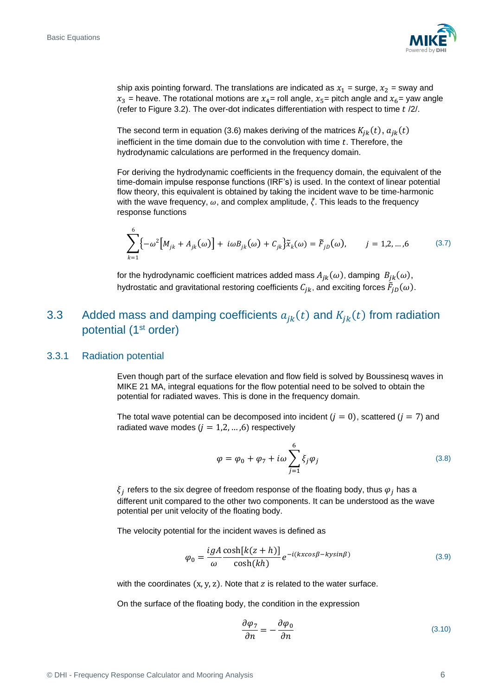

ship axis pointing forward. The translations are indicated as  $x_1$  = surge,  $x_2$  = sway and  $x_3$  = heave. The rotational motions are  $x_4$ = roll angle,  $x_5$ = pitch angle and  $x_6$ = yaw angle (refer to [Figure 3.2\)](#page-8-0). The over-dot indicates differentiation with respect to time  $t$  [/2/.](#page-28-1)

The second term in equation [\(3.6\)](#page-9-1) makes deriving of the matrices  $K_{ik}(t)$ ,  $a_{ik}(t)$ inefficient in the time domain due to the convolution with time  $t$ . Therefore, the hydrodynamic calculations are performed in the frequency domain.

For deriving the hydrodynamic coefficients in the frequency domain, the equivalent of the time-domain impulse response functions (IRF's) is used. In the context of linear potential flow theory, this equivalent is obtained by taking the incident wave to be time-harmonic with the wave frequency,  $\omega$ , and complex amplitude,  $\tilde{\zeta}$ . This leads to the frequency response functions

$$
\sum_{k=1}^{6} \left\{ -\omega^2 \left[ M_{jk} + A_{jk}(\omega) \right] + i\omega B_{jk}(\omega) + C_{jk} \right\} \tilde{x}_k(\omega) = \tilde{F}_{jD}(\omega), \qquad j = 1, 2, ..., 6 \qquad (3.7)
$$

for the hydrodynamic coefficient matrices added mass  $A_{ik}(\omega)$ , damping  $B_{ik}(\omega)$ , hydrostatic and gravitational restoring coefficients  $\mathcal{C}_{jk}$ , and exciting forces  $\tilde{F}_{jD}(\omega).$ 

## <span id="page-10-0"></span>3.3 Added mass and damping coefficients  $a_{ik}(t)$  and  $K_{ik}(t)$  from radiation potential (1<sup>st</sup> order)

#### 3.3.1 Radiation potential

Even though part of the surface elevation and flow field is solved by Boussinesq waves in MIKE 21 MA, integral equations for the flow potential need to be solved to obtain the potential for radiated waves. This is done in the frequency domain.

The total wave potential can be decomposed into incident  $(j = 0)$ , scattered  $(j = 7)$  and radiated wave modes  $(j = 1, 2, ..., 6)$  respectively

$$
\varphi = \varphi_0 + \varphi_7 + i\omega \sum_{j=1}^{6} \xi_j \varphi_j \tag{3.8}
$$

 $\xi_j$  refers to the six degree of freedom response of the floating body, thus  $\pmb{\varphi}_j$  has a different unit compared to the other two components. It can be understood as the wave potential per unit velocity of the floating body.

The velocity potential for the incident waves is defined as

$$
\varphi_0 = \frac{igA}{\omega} \frac{\cosh[k(z+h)]}{\cosh(kh)} e^{-i(kx\cos\beta - kysin\beta)} \tag{3.9}
$$

with the coordinates  $(x, y, z)$ . Note that z is related to the water surface.

On the surface of the floating body, the condition in the expression

$$
\frac{\partial \varphi_7}{\partial n} = -\frac{\partial \varphi_0}{\partial n} \tag{3.10}
$$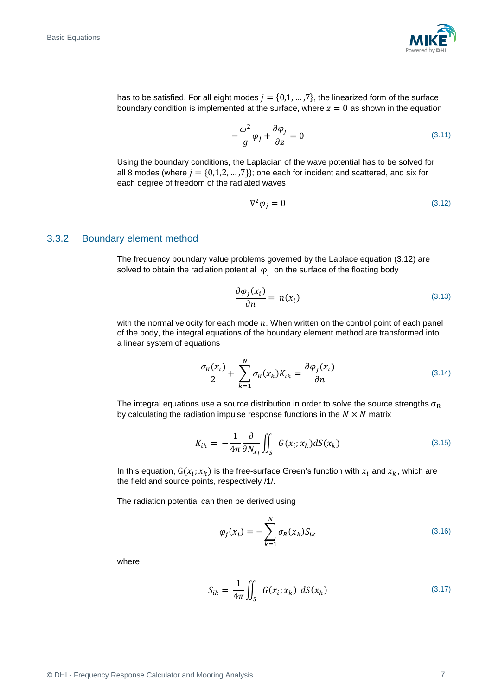

has to be satisfied. For all eight modes  $j = \{0, 1, ..., 7\}$ , the linearized form of the surface boundary condition is implemented at the surface, where  $z = 0$  as shown in the equation

$$
-\frac{\omega^2}{g}\varphi_j + \frac{\partial \varphi_j}{\partial z} = 0
$$
\n(3.11)

Using the boundary conditions, the Laplacian of the wave potential has to be solved for all 8 modes (where  $j = \{0,1,2,...,7\}$ ); one each for incident and scattered, and six for each degree of freedom of the radiated waves

<span id="page-11-0"></span>
$$
\nabla^2 \varphi_j = 0 \tag{3.12}
$$

#### 3.3.2 Boundary element method

The frequency boundary value problems governed by the Laplace equation [\(3.12\)](#page-11-0) are solved to obtain the radiation potential  $\varphi_i$  on the surface of the floating body

$$
\frac{\partial \varphi_j(x_i)}{\partial n} = n(x_i) \tag{3.13}
$$

with the normal velocity for each mode  $n$ . When written on the control point of each panel of the body, the integral equations of the boundary element method are transformed into a linear system of equations

$$
\frac{\sigma_R(x_i)}{2} + \sum_{k=1}^N \sigma_R(x_k) K_{ik} = \frac{\partial \varphi_j(x_i)}{\partial n}
$$
\n(3.14)

The integral equations use a source distribution in order to solve the source strengths  $\sigma_R$ by calculating the radiation impulse response functions in the  $N \times N$  matrix

$$
K_{ik} = -\frac{1}{4\pi} \frac{\partial}{\partial N_{x_i}} \iint_S G(x_i; x_k) dS(x_k)
$$
\n(3.15)

In this equation,  $G(x_i; x_k)$  is the free-surface Green's function with  $x_i$  and  $x_k$ , which are the field and source points, respectively [/1/.](#page-28-2)

The radiation potential can then be derived using

$$
\varphi_j(x_i) = -\sum_{k=1}^N \sigma_k(x_k) S_{ik}
$$
\n(3.16)

where

$$
S_{ik} = \frac{1}{4\pi} \iint_{S} G(x_i; x_k) dS(x_k)
$$
\n(3.17)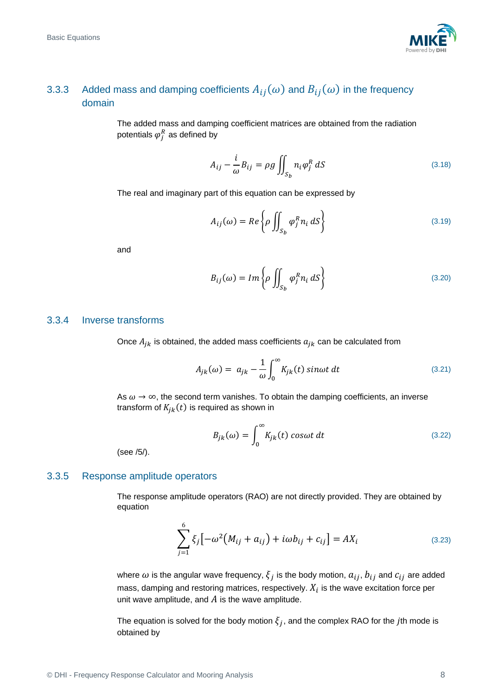

## 3.3.3 Added mass and damping coefficients  $A_{ij}(\omega)$  and  $B_{ij}(\omega)$  in the frequency domain

The added mass and damping coefficient matrices are obtained from the radiation potentials  $\varphi^R_j$  as defined by

$$
A_{ij} - \frac{i}{\omega} B_{ij} = \rho g \iint_{S_b} n_i \varphi_j^R dS \tag{3.18}
$$

The real and imaginary part of this equation can be expressed by

$$
A_{ij}(\omega) = Re \left\{ \rho \iint_{S_b} \varphi_j^R n_i \, dS \right\} \tag{3.19}
$$

and

$$
B_{ij}(\omega) = Im \left\{ \rho \iint_{S_b} \varphi_j^R n_i \, dS \right\} \tag{3.20}
$$

#### 3.3.4 Inverse transforms

Once  $A_{jk}$  is obtained, the added mass coefficients  $a_{jk}$  can be calculated from

$$
A_{jk}(\omega) = a_{jk} - \frac{1}{\omega} \int_0^\infty K_{jk}(t) \sin \omega t \, dt \tag{3.21}
$$

As  $\omega \to \infty$ , the second term vanishes. To obtain the damping coefficients, an inverse transform of  $K_{jk}(t)$  is required as shown in

<span id="page-12-1"></span>
$$
B_{jk}(\omega) = \int_0^\infty K_{jk}(t) \cos \omega t \, dt \tag{3.22}
$$

(see [/5/\)](#page-28-3).

#### <span id="page-12-0"></span>3.3.5 Response amplitude operators

The response amplitude operators (RAO) are not directly provided. They are obtained by equation

$$
\sum_{j=1}^{6} \xi_j \left[ -\omega^2 \left( M_{ij} + a_{ij} \right) + i \omega b_{ij} + c_{ij} \right] = AX_i
$$
\n(3.23)

where  $\omega$  is the angular wave frequency,  $\bar{\xi}_j$  is the body motion,  $a_{ij},$   $b_{ij}$  and  $c_{ij}$  are added mass, damping and restoring matrices, respectively.  $X_i$  is the wave excitation force per unit wave amplitude, and  $A$  is the wave amplitude.

The equation is solved for the body motion  $\xi_j$ , and the complex RAO for the jth mode is obtained by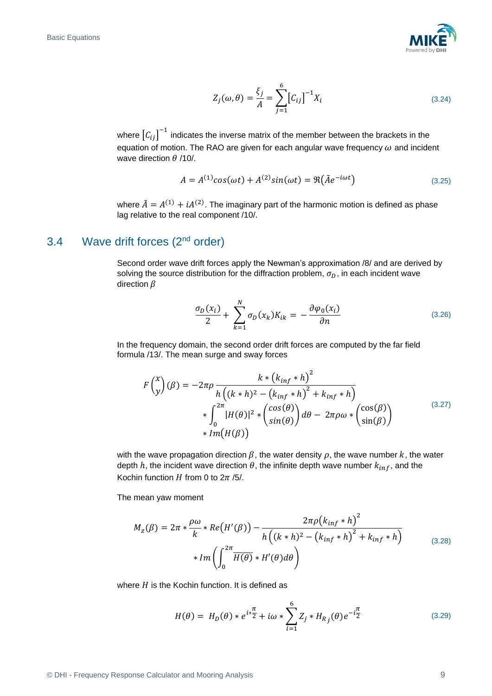

$$
Z_j(\omega,\theta) = \frac{\xi_j}{A} = \sum_{j=1}^{6} [C_{ij}]^{-1} X_i
$$
 (3.24)

where  $\left[C_{ij}\right]^{-1}$  indicates the inverse matrix of the member between the brackets in the equation of motion. The RAO are given for each angular wave frequency  $\omega$  and incident wave direction  $\theta$  [/10/.](#page-28-4)

$$
A = A^{(1)}\cos(\omega t) + A^{(2)}\sin(\omega t) = \Re(\tilde{A}e^{-i\omega t})
$$
\n(3.25)

where  $\tilde{A} = A^{(1)} + iA^{(2)}$ . The imaginary part of the harmonic motion is defined as phase lag relative to the real component [/10/.](#page-28-4)

## 3.4 Wave drift forces (2nd order)

Second order wave drift forces apply the Newman's approximation [/8/](#page-28-5) and are derived by solving the source distribution for the diffraction problem,  $\sigma_D$ , in each incident wave direction  $\beta$ 

$$
\frac{\sigma_D(x_i)}{2} + \sum_{k=1}^N \sigma_D(x_k) K_{ik} = -\frac{\partial \varphi_0(x_i)}{\partial n}
$$
\n(3.26)

In the frequency domain, the second order drift forces are computed by the far field formula [/13/.](#page-28-6) The mean surge and sway forces

$$
F\binom{x}{y}(\beta) = -2\pi\rho \frac{k * (k_{inf} * h)^2}{h((k * h)^2 - (k_{inf} * h)^2 + k_{inf} * h)}
$$
  
 
$$
* \int_0^{2\pi} |H(\theta)|^2 * \binom{\cos(\theta)}{\sin(\theta)} d\theta - 2\pi\rho \omega * \binom{\cos(\beta)}{\sin(\beta)}
$$
(3.27)  
 
$$
* Im(H(\beta))
$$

with the wave propagation direction  $\beta$ , the water density  $\rho$ , the wave number k, the water depth h, the incident wave direction  $\theta$ , the infinite depth wave number  $k_{inf}$ , and the Kochin function  $H$  from 0 to  $2\pi/5$ .

The mean yaw moment

$$
M_Z(\beta) = 2\pi \ast \frac{\rho \omega}{k} \ast Re\left(H'(\beta)\right) - \frac{2\pi \rho \left(k_{inf} \ast h\right)^2}{h\left((k \ast h)^2 - \left(k_{inf} \ast h\right)^2 + k_{inf} \ast h\right)}
$$
  
\$\ast Im\left(\int\_0^{2\pi} \overline{H(\theta)} \ast H'(\theta) d\theta\right)\$ \n(3.28)

where  $H$  is the Kochin function. It is defined as

$$
H(\theta) = H_D(\theta) * e^{i*\frac{\pi}{2}} + i\omega * \sum_{i=1}^{6} Z_j * H_{R_j}(\theta) e^{-i\frac{\pi}{2}}
$$
(3.29)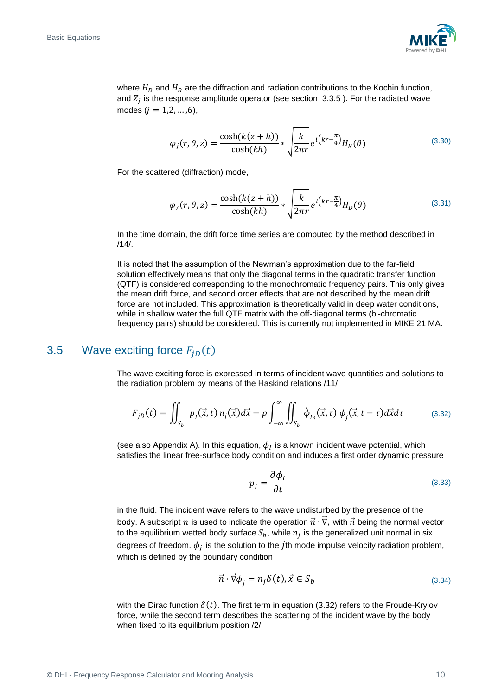

where  $H_D$  and  $H_R$  are the diffraction and radiation contributions to the Kochin function, and  $Z_j$  is the response amplitude operator (see section [3.3.5](#page-12-0)). For the radiated wave modes  $(i = 1, 2, ..., 6)$ ,

$$
\varphi_j(r,\theta,z) = \frac{\cosh(k(z+h))}{\cosh(kh)} * \sqrt{\frac{k}{2\pi r}} e^{i\left(kr - \frac{\pi}{4}\right)} H_R(\theta) \tag{3.30}
$$

For the scattered (diffraction) mode,

$$
\varphi_7(r,\theta,z) = \frac{\cosh(k(z+h))}{\cosh(kh)} * \sqrt{\frac{k}{2\pi r}} e^{i\left(kr - \frac{\pi}{4}\right)} H_D(\theta) \tag{3.31}
$$

In the time domain, the drift force time series are computed by the method described in [/14/.](#page-28-7)

It is noted that the assumption of the Newman's approximation due to the far-field solution effectively means that only the diagonal terms in the quadratic transfer function (QTF) is considered corresponding to the monochromatic frequency pairs. This only gives the mean drift force, and second order effects that are not described by the mean drift force are not included. This approximation is theoretically valid in deep water conditions, while in shallow water the full QTF matrix with the off-diagonal terms (bi-chromatic frequency pairs) should be considered. This is currently not implemented in MIKE 21 MA.

## <span id="page-14-0"></span>3.5 Wave exciting force  $F_{in}(t)$

The wave exciting force is expressed in terms of incident wave quantities and solutions to the radiation problem by means of the Haskind relations [/11/](#page-28-8)

$$
F_{jD}(t) = \iint_{S_b} p_j(\vec{x}, t) n_j(\vec{x}) d\vec{x} + \rho \int_{-\infty}^{\infty} \iint_{S_b} \dot{\phi}_{ln}(\vec{x}, \tau) \phi_j(\vec{x}, t - \tau) d\vec{x} d\tau
$$
 (3.32)

(see also Appendix [A\)](#page-31-0). In this equation,  $\phi_I$  is a known incident wave potential, which satisfies the linear free-surface body condition and induces a first order dynamic pressure

<span id="page-14-1"></span>
$$
p_I = \frac{\partial \phi_I}{\partial t} \tag{3.33}
$$

in the fluid. The incident wave refers to the wave undisturbed by the presence of the body. A subscript n is used to indicate the operation  $\vec{n} \cdot \vec{v}$ , with  $\vec{n}$  being the normal vector to the equilibrium wetted body surface  $S_b$ , while  $n_j$  is the generalized unit normal in six degrees of freedom.  $\phi_j$  is the solution to the *j*th mode impulse velocity radiation problem, which is defined by the boundary condition

$$
\vec{n} \cdot \vec{\nabla} \phi_j = n_j \delta(t), \vec{x} \in S_b \tag{3.34}
$$

with the Dirac function  $\delta(t)$ . The first term in equation [\(3.32\)](#page-14-1) refers to the Froude-Krylov force, while the second term describes the scattering of the incident wave by the body when fixed to its equilibrium position [/2/.](#page-28-1)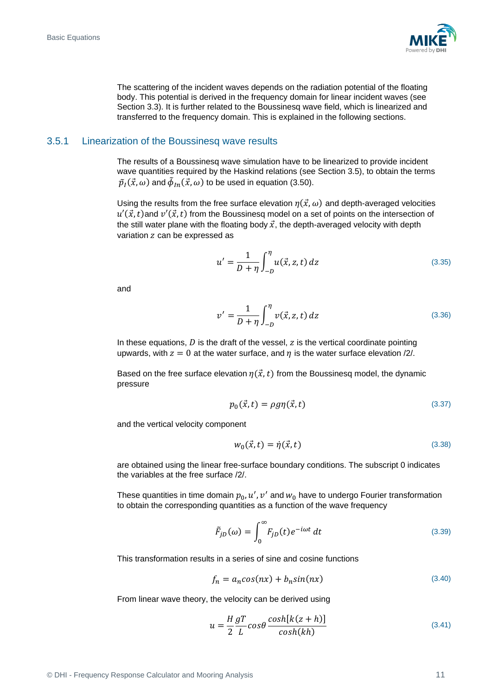

The scattering of the incident waves depends on the radiation potential of the floating body. This potential is derived in the frequency domain for linear incident waves (see Section [3.3\)](#page-10-0). It is further related to the Boussinesg wave field, which is linearized and transferred to the frequency domain. This is explained in the following sections.

#### <span id="page-15-2"></span>3.5.1 Linearization of the Boussinesq wave results

The results of a Boussinesq wave simulation have to be linearized to provide incident wave quantities required by the Haskind relations (see Section [3.5\)](#page-14-0), to obtain the terms  $\tilde{p}_I(\vec{x},\omega)$  and  $\tilde{\phi}_{In}(\vec{x},\omega)$  to be used in equation [\(3.50\).](#page-17-2)

Using the results from the free surface elevation  $\eta(\vec{x}, \omega)$  and depth-averaged velocities  $u'(\vec{x},t)$  and  $v'(\vec{x},t)$  from the Boussinesq model on a set of points on the intersection of the still water plane with the floating body  $\vec{x}$ , the depth-averaged velocity with depth variation  $z$  can be expressed as

<span id="page-15-0"></span>
$$
u' = \frac{1}{D + \eta} \int_{-D}^{\eta} u(\vec{x}, z, t) \, dz \tag{3.35}
$$

and

<span id="page-15-1"></span>
$$
v' = \frac{1}{D + \eta} \int_{-D}^{\eta} v(\vec{x}, z, t) \, dz \tag{3.36}
$$

In these equations,  $D$  is the draft of the vessel,  $Z$  is the vertical coordinate pointing upwards, with  $z = 0$  at the water surface, and  $\eta$  is the water surface elevation [/2/.](#page-28-1)

Based on the free surface elevation  $\eta(\vec{x},t)$  from the Boussinesq model, the dynamic pressure

$$
p_0(\vec{x},t) = \rho g \eta(\vec{x},t) \tag{3.37}
$$

and the vertical velocity component

$$
w_0(\vec{x},t) = \dot{\eta}(\vec{x},t) \tag{3.38}
$$

are obtained using the linear free-surface boundary conditions. The subscript 0 indicates the variables at the free surface [/2/.](#page-28-1)

These quantities in time domain  $p_0, u^\prime, v^\prime$  and  $w_0$  have to undergo Fourier transformation to obtain the corresponding quantities as a function of the wave frequency

$$
\tilde{F}_{jD}(\omega) = \int_0^\infty F_{jD}(t)e^{-i\omega t} dt
$$
\n(3.39)

This transformation results in a series of sine and cosine functions

$$
f_n = a_n \cos(nx) + b_n \sin(nx) \tag{3.40}
$$

From linear wave theory, the velocity can be derived using

$$
u = \frac{H}{2} \frac{gT}{L} \cos\theta \frac{\cosh[k(z+h)]}{\cosh(kh)}
$$
(3.41)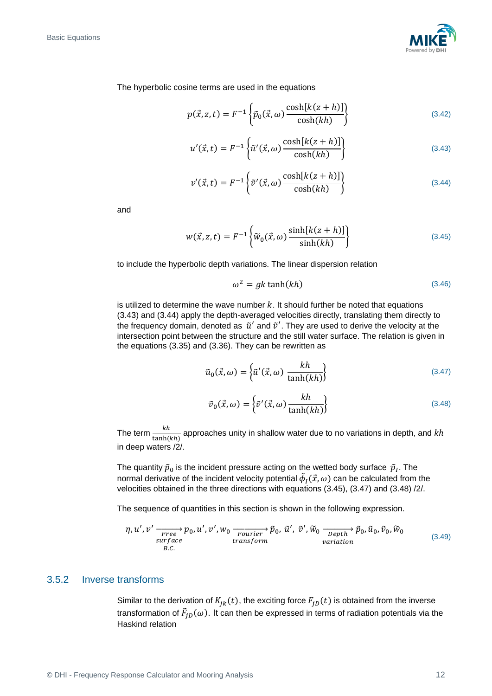<span id="page-16-1"></span><span id="page-16-0"></span>

The hyperbolic cosine terms are used in the equations

$$
p(\vec{x}, z, t) = F^{-1}\left\{\tilde{p}_0(\vec{x}, \omega) \frac{\cosh[k(z+h)]}{\cosh(kh)}\right\}
$$
(3.42)

$$
u'(\vec{x},t) = F^{-1}\left\{\tilde{u}'(\vec{x},\omega)\frac{\cosh[k(z+h)]}{\cosh(kh)}\right\}
$$
(3.43)

$$
v'(\vec{x},t) = F^{-1}\left\{\tilde{v}'(\vec{x},\omega)\frac{\cosh[k(z+h)]}{\cosh(kh)}\right\}
$$
(3.44)

and

$$
w(\vec{x}, z, t) = F^{-1}\left\{\widetilde{w}_0(\vec{x}, \omega) \frac{\sinh[k(z+h)]}{\sinh(kh)}\right\}
$$
(3.45)

to include the hyperbolic depth variations. The linear dispersion relation

<span id="page-16-3"></span><span id="page-16-2"></span>
$$
\omega^2 = gk \tanh(kh) \tag{3.46}
$$

is utilized to determine the wave number  $k$ . It should further be noted that equations [\(3.43\)](#page-16-0) and [\(3.44\)](#page-16-1) apply the depth-averaged velocities directly, translating them directly to the frequency domain, denoted as  $\tilde{u}'$  and  $\tilde{v}'$ . They are used to derive the velocity at the intersection point between the structure and the still water surface. The relation is given in the equations [\(3.35\)](#page-15-0) and [\(3.36\).](#page-15-1) They can be rewritten as

$$
\tilde{u}_0(\vec{x}, \omega) = \left\{ \tilde{u}'(\vec{x}, \omega) \frac{kh}{\tanh(kh)} \right\}
$$
\n(3.47)

<span id="page-16-4"></span>
$$
\tilde{v}_0(\vec{x}, \omega) = \left\{ \tilde{v}'(\vec{x}, \omega) \frac{kh}{\tanh(kh)} \right\}
$$
\n(3.48)

The term  $\frac{kh}{\tanh(kh)}$  approaches unity in shallow water due to no variations in depth, and  $kh$ in deep waters [/2/.](#page-28-1)

The quantity  $\tilde{p}_0$  is the incident pressure acting on the wetted body surface  $\tilde{p}_I$ . The normal derivative of the incident velocity potential  $\tilde{\phi}_I(\vec{x},\omega)$  can be calculated from the velocities obtained in the three directions with equations [\(3.45\),](#page-16-2) [\(3.47\)](#page-16-3) and [\(3.48\)](#page-16-4) [/2/.](#page-28-1)

The sequence of quantities in this section is shown in the following expression.

$$
\eta, u', v' \xrightarrow[Free]{\text{Free}} p_0, u', v', w_0 \xrightarrow[Fourier]{\text{Fourier}} \tilde{p}_0, \tilde{u}', \tilde{v}', \tilde{w}_0 \xrightarrow[Deritot]{\text{Depth}} \tilde{p}_0, \tilde{u}_0, \tilde{v}_0, \tilde{w}_0
$$
\n
$$
\text{surface} \quad (3.49)
$$
\n
$$
B.C.
$$

### 3.5.2 Inverse transforms

Similar to the derivation of  $K_{ik}(t)$ , the exciting force  $F_{iD}(t)$  is obtained from the inverse transformation of  $\tilde{F}_{jD}(\omega).$  It can then be expressed in terms of radiation potentials via the Haskind relation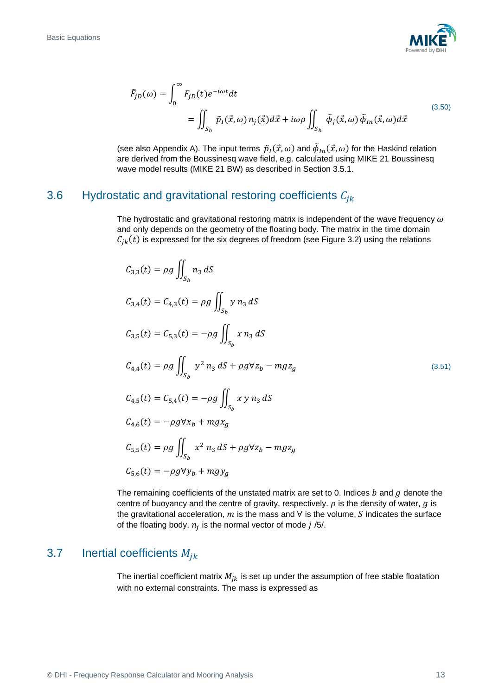<span id="page-17-2"></span>

$$
\tilde{F}_{jD}(\omega) = \int_0^\infty F_{jD}(t)e^{-i\omega t}dt
$$
\n
$$
= \iint_{S_b} \tilde{p}_I(\vec{x}, \omega) n_j(\vec{x})d\vec{x} + i\omega \rho \iint_{S_b} \tilde{\phi}_j(\vec{x}, \omega) \tilde{\phi}_{In}(\vec{x}, \omega)d\vec{x}
$$
\n(3.50)

(see also Appendix [A\)](#page-31-0). The input terms  $\tilde{p}_I(\vec{x},\omega)$  and  $\tilde{\phi}_{In}(\vec{x},\omega)$  for the Haskind relation are derived from the Boussinesq wave field, e.g. calculated using MIKE 21 Boussinesq wave model results (MIKE 21 BW) as described in Section [3.5.1.](#page-15-2)

## <span id="page-17-0"></span>3.6 Hydrostatic and gravitational restoring coefficients  $C_{ik}$

The hydrostatic and gravitational restoring matrix is independent of the wave frequency  $\omega$ and only depends on the geometry of the floating body. The matrix in the time domain  $C_{ik}(t)$  is expressed for the six degrees of freedom (see [Figure 3.2\)](#page-8-0) using the relations

$$
C_{3,3}(t) = \rho g \iint_{S_b} n_3 dS
$$
  
\n
$$
C_{3,4}(t) = C_{4,3}(t) = \rho g \iint_{S_b} y n_3 dS
$$
  
\n
$$
C_{3,5}(t) = C_{5,3}(t) = -\rho g \iint_{S_b} x n_3 dS
$$
  
\n
$$
C_{4,4}(t) = \rho g \iint_{S_b} y^2 n_3 dS + \rho g \forall z_b - mgz_g
$$
  
\n
$$
C_{4,5}(t) = C_{5,4}(t) = -\rho g \iint_{S_b} x y n_3 dS
$$
  
\n
$$
C_{4,6}(t) = -\rho g \forall x_b + mgx_g
$$
  
\n
$$
C_{5,5}(t) = \rho g \iint_{S_b} x^2 n_3 dS + \rho g \forall z_b - mgz_g
$$
  
\n
$$
C_{5,6}(t) = -\rho g \forall y_b + mgy_g
$$

The remaining coefficients of the unstated matrix are set to 0. Indices  $b$  and  $g$  denote the centre of buoyancy and the centre of gravity, respectively.  $\rho$  is the density of water,  $q$  is the gravitational acceleration,  $m$  is the mass and  $\forall$  is the volume,  $S$  indicates the surface of the floating body.  $n_j$  is the normal vector of mode j [/5/.](#page-28-3)

## <span id="page-17-1"></span>3.7 Inertial coefficients  $M_{jk}$

The inertial coefficient matrix  $M_{ik}$  is set up under the assumption of free stable floatation with no external constraints. The mass is expressed as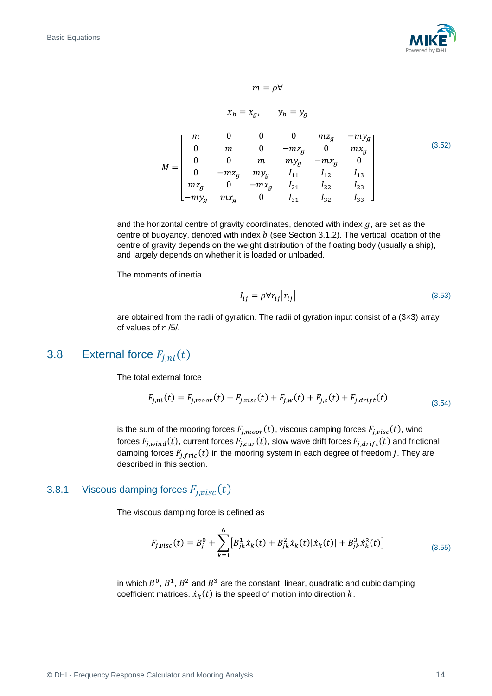

 $m = \rho \forall$ 

$$
x_b = x_g, \qquad y_b = y_g
$$

$$
M = \begin{bmatrix} m & 0 & 0 & 0 & mz_g & -my_g \\ 0 & m & 0 & -mz_g & 0 & mx_g \\ 0 & 0 & m & my_g & -mx_g & 0 \\ 0 & -mz_g & my_g & l_{11} & l_{12} & l_{13} \\ mz_g & 0 & -mx_g & l_{21} & l_{22} & l_{23} \\ -my_g & mx_g & 0 & l_{31} & l_{32} & l_{33} \end{bmatrix}
$$
(3.52)

and the horizontal centre of gravity coordinates, denoted with index  $q$ , are set as the centre of buoyancy, denoted with index  $b$  (see Section [3.1.2\)](#page-8-1). The vertical location of the centre of gravity depends on the weight distribution of the floating body (usually a ship), and largely depends on whether it is loaded or unloaded.

The moments of inertia

$$
I_{ij} = \rho \forall r_{ij} |r_{ij}| \tag{3.53}
$$

are obtained from the radii of gyration. The radii of gyration input consist of a (3x3) array of values of  $r/5/$ .

## <span id="page-18-0"></span>3.8 External force  $F_{i,nl}(t)$

The total external force

$$
F_{j,nl}(t) = F_{j,moor}(t) + F_{j,visc}(t) + F_{j,w}(t) + F_{j,c}(t) + F_{j,drift}(t)
$$
\n(3.54)

is the sum of the mooring forces  $F_{j,moor}(t)$ , viscous damping forces  $F_{j,visc}(t)$ , wind forces  $F_{j,wind}(t)$ , current forces  $F_{j,cur}(t)$ , slow wave drift forces  $F_{j,drift}(t)$  and frictional damping forces  $F_{i,fric}(t)$  in the mooring system in each degree of freedom j. They are described in this section.

## 3.8.1 Viscous damping forces  $F_{i,visc}(t)$

The viscous damping force is defined as

$$
F_{j,\text{visc}}(t) = B_j^0 + \sum_{k=1}^6 \left[ B_{jk}^1 \dot{x}_k(t) + B_{jk}^2 \dot{x}_k(t) | \dot{x}_k(t) | + B_{jk}^3 \dot{x}_k^3(t) \right]
$$
(3.55)

in which  $B^0$ ,  $B^1$ ,  $B^2$  and  $B^3$  are the constant, linear, quadratic and cubic damping coefficient matrices.  $\dot{x}_{k}(t)$  is the speed of motion into direction  $k$ .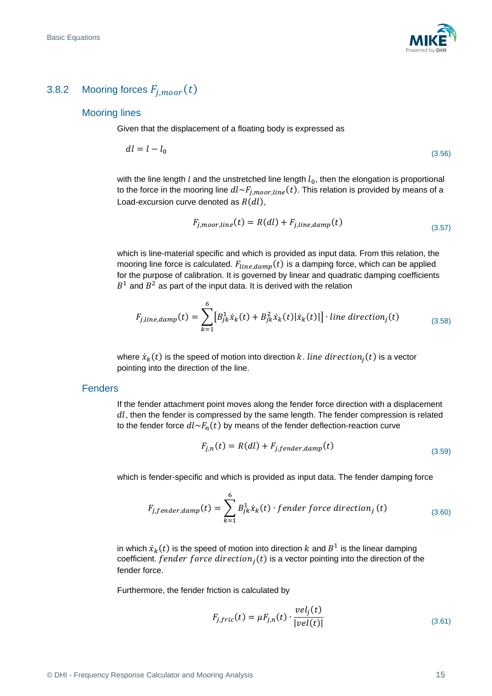

## 3.8.2 Mooring forces  $F_{i,moor}(t)$

#### Mooring lines

Given that the displacement of a floating body is expressed as

$$
dl = l - l_0 \tag{3.56}
$$

with the line length  $l$  and the unstretched line length  $l_0$ , then the elongation is proportional to the force in the mooring line  $dl \sim F_{j,moor,line}(t)$ . This relation is provided by means of a Load-excursion curve denoted as  $R(dl)$ ,

$$
F_{j,moor,line}(t) = R(dl) + F_{j,line, damp}(t)
$$
\n(3.57)

which is line-material specific and which is provided as input data. From this relation, the mooring line force is calculated.  $F_{line, damp}(t)$  is a damping force, which can be applied for the purpose of calibration. It is governed by linear and quadratic damping coefficients  $B<sup>1</sup>$  and  $B<sup>2</sup>$  as part of the input data. It is derived with the relation

$$
F_{j,line,damp}(t) = \sum_{k=1}^{6} [B_{jk}^{1} \dot{x}_{k}(t) + B_{jk}^{2} \dot{x}_{k}(t) | \dot{x}_{k}(t)] \cdot line \, direction_{j}(t) \tag{3.58}
$$

where  $\dot{x}_{k}(t)$  is the speed of motion into direction  $k.$   $line~divection_{j}(t)$  is a vector pointing into the direction of the line.

#### Fenders

If the fender attachment point moves along the fender force direction with a displacement  $dl$ , then the fender is compressed by the same length. The fender compression is related to the fender force  $dl{\sim}F_n(t)$  by means of the fender deflection-reaction curve

$$
F_{j,n}(t) = R(dl) + F_{j, fender, damp}(t)
$$
\n(3.59)

which is fender-specific and which is provided as input data. The fender damping force

$$
F_{j, fender, damp}(t) = \sum_{k=1}^{6} B_{jk}^{1} \dot{x}_{k}(t) \cdot fender force direction_{j}(t)
$$
\n(3.60)

in which  $\dot{x}_{k}(t)$  is the speed of motion into direction  $k$  and  $B^{1}$  is the linear damping coefficient. *fender force direction<sub>j</sub>*(*t*) is a vector pointing into the direction of the fender force.

Furthermore, the fender friction is calculated by

$$
F_{j,fric}(t) = \mu F_{j,n}(t) \cdot \frac{vel_j(t)}{|vel(t)|}
$$
\n(3.61)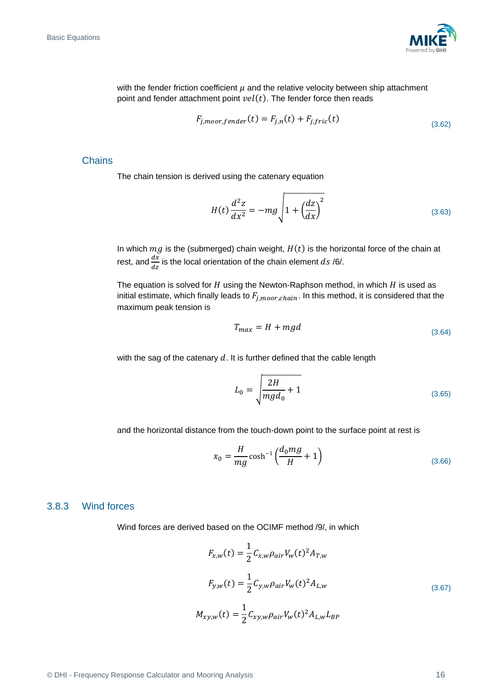

with the fender friction coefficient  $\mu$  and the relative velocity between ship attachment point and fender attachment point  $vel(t)$ . The fender force then reads

$$
F_{j,moor,fender}(t) = F_{j,n}(t) + F_{j,fric}(t)
$$
\n(3.62)

#### **Chains**

The chain tension is derived using the catenary equation

$$
H(t)\frac{d^2z}{dx^2} = -mg\sqrt{1 + \left(\frac{dz}{dx}\right)^2}
$$
\n(3.63)

In which  $mg$  is the (submerged) chain weight,  $H(t)$  is the horizontal force of the chain at rest, and  $\frac{dx}{dz}$  is the local orientation of the chain element  $ds$  [/6/.](#page-28-9)

The equation is solved for  $H$  using the Newton-Raphson method, in which  $H$  is used as initial estimate, which finally leads to  $F_{j,moor, chain}$ . In this method, it is considered that the maximum peak tension is

$$
T_{max} = H + mgd \tag{3.64}
$$

with the sag of the catenary  $d$ . It is further defined that the cable length

$$
L_0 = \sqrt{\frac{2H}{mgd_0} + 1}
$$
 (3.65)

and the horizontal distance from the touch-down point to the surface point at rest is

$$
x_0 = \frac{H}{mg}\cosh^{-1}\left(\frac{d_0mg}{H} + 1\right) \tag{3.66}
$$

#### 3.8.3 Wind forces

Wind forces are derived based on the OCIMF method [/9/,](#page-28-10) in which

$$
F_{x,w}(t) = \frac{1}{2} C_{x,w} \rho_{air} V_w(t)^2 A_{T,w}
$$
  
\n
$$
F_{y,w}(t) = \frac{1}{2} C_{y,w} \rho_{air} V_w(t)^2 A_{L,w}
$$
  
\n
$$
M_{xy,w}(t) = \frac{1}{2} C_{xy,w} \rho_{air} V_w(t)^2 A_{L,w} L_{BP}
$$
\n(3.67)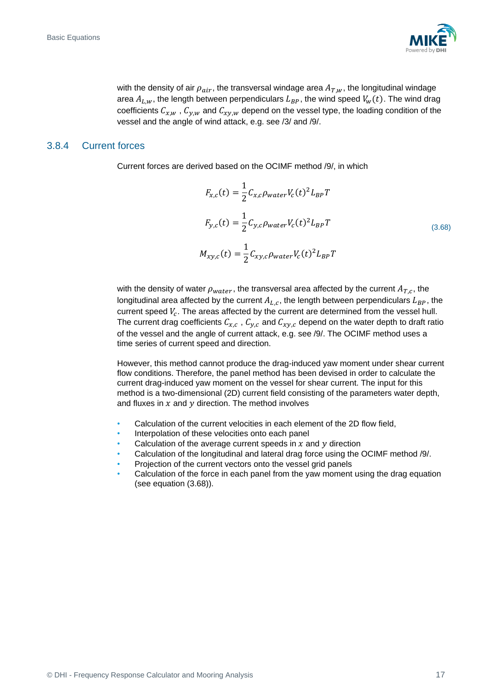<span id="page-21-0"></span>

with the density of air  $\rho_{air}$ , the transversal windage area  $A_{T,w}$ , the longitudinal windage area  $A_{L,w}$ , the length between perpendiculars  $L_{BP}$ , the wind speed  $V_w(t)$ . The wind drag coefficients  $C_{x,w}$ ,  $C_{y,w}$  and  $C_{xy,w}$  depend on the vessel type, the loading condition of the vessel and the angle of wind attack, e.g. see [/3/](#page-28-11) an[d /9/.](#page-28-10)

#### 3.8.4 Current forces

Current forces are derived based on the OCIMF method [/9/,](#page-28-10) in which

$$
F_{x,c}(t) = \frac{1}{2} C_{x,c} \rho_{water} V_c(t)^2 L_{BP} T
$$
  
\n
$$
F_{y,c}(t) = \frac{1}{2} C_{y,c} \rho_{water} V_c(t)^2 L_{BP} T
$$
  
\n
$$
M_{xy,c}(t) = \frac{1}{2} C_{xy,c} \rho_{water} V_c(t)^2 L_{BP} T
$$
\n(3.68)

with the density of water  $\rho_{water}$ , the transversal area affected by the current  $A_{T,c}$ , the longitudinal area affected by the current  $A_{L,c}$ , the length between perpendiculars  $L_{BP},$  the current speed  $V_c$ . The areas affected by the current are determined from the vessel hull. The current drag coefficients  $\mathcal{C}_{x,c}$  ,  $\mathcal{C}_{y,c}$  and  $\mathcal{C}_{xy,c}$  depend on the water depth to draft ratio of the vessel and the angle of current attack, e.g. se[e /9/.](#page-28-10) The OCIMF method uses a time series of current speed and direction.

However, this method cannot produce the drag-induced yaw moment under shear current flow conditions. Therefore, the panel method has been devised in order to calculate the current drag-induced yaw moment on the vessel for shear current. The input for this method is a two-dimensional (2D) current field consisting of the parameters water depth, and fluxes in  $x$  and  $y$  direction. The method involves

- Calculation of the current velocities in each element of the 2D flow field,
- Interpolation of these velocities onto each panel
- Calculation of the average current speeds in  $x$  and  $y$  direction
- Calculation of the longitudinal and lateral drag force using the OCIMF method [/9/.](#page-28-10)
- Projection of the current vectors onto the vessel grid panels
- Calculation of the force in each panel from the yaw moment using the drag equation (see equation [\(3.68\)\)](#page-21-0).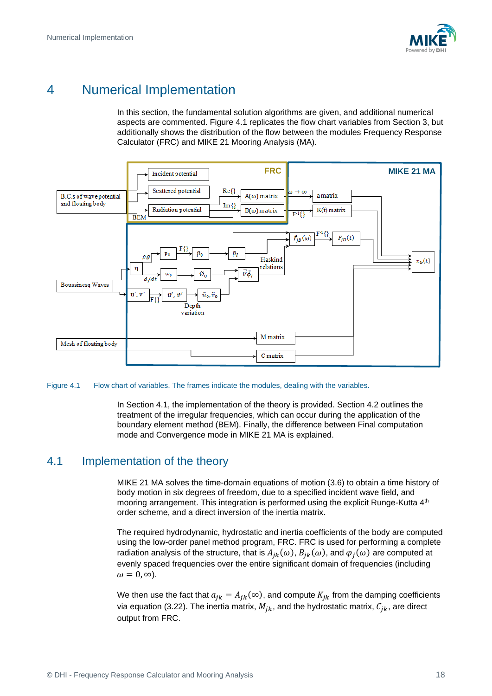

## <span id="page-22-0"></span>4 Numerical Implementation

In this section, the fundamental solution algorithms are given, and additional numerical aspects are commented. [Figure 4.1](#page-22-1) replicates the flow chart variables from Section [3,](#page-7-0) but additionally shows the distribution of the flow between the modules Frequency Response Calculator (FRC) and MIKE 21 Mooring Analysis (MA).



#### <span id="page-22-1"></span>Figure 4.1 Flow chart of variables. The frames indicate the modules, dealing with the variables.

In Section [4.1,](#page-22-2) the implementation of the theory is provided. Section [4.2](#page-23-0) outlines the treatment of the irregular frequencies, which can occur during the application of the boundary element method (BEM). Finally, the difference between Final computation mode and Convergence mode in MIKE 21 MA is explained.

## <span id="page-22-2"></span>4.1 Implementation of the theory

MIKE 21 MA solves the time-domain equations of motion [\(3.6\)](#page-9-1) to obtain a time history of body motion in six degrees of freedom, due to a specified incident wave field, and mooring arrangement. This integration is performed using the explicit Runge-Kutta 4<sup>th</sup> order scheme, and a direct inversion of the inertia matrix.

The required hydrodynamic, hydrostatic and inertia coefficients of the body are computed using the low-order panel method program, FRC. FRC is used for performing a complete radiation analysis of the structure, that is  $A_{jk}(\omega)$ ,  $B_{jk}(\omega)$ , and  $\varphi_j(\omega)$  are computed at evenly spaced frequencies over the entire significant domain of frequencies (including  $\omega = 0, \infty$ ).

We then use the fact that  $a_{jk} = A_{jk}(\infty)$ , and compute  $K_{jk}$  from the damping coefficients via equation [\(3.22\).](#page-12-1) The inertia matrix,  $M_{jk}$ , and the hydrostatic matrix,  $C_{jk}$ , are direct output from FRC.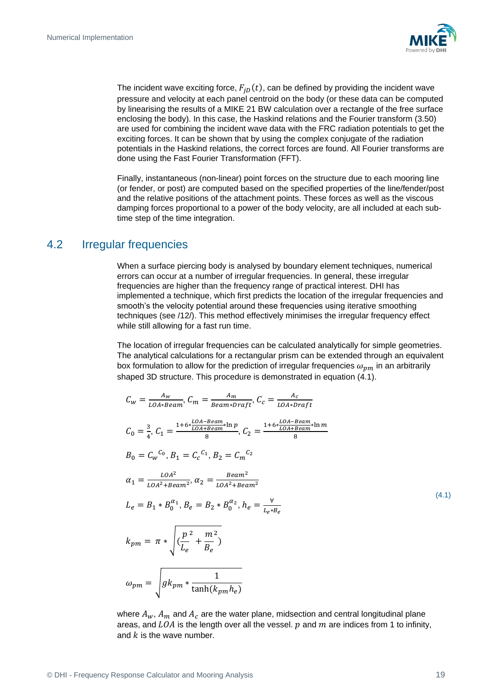

The incident wave exciting force,  $F_{iD}(t)$ , can be defined by providing the incident wave pressure and velocity at each panel centroid on the body (or these data can be computed by linearising the results of a MIKE 21 BW calculation over a rectangle of the free surface enclosing the body). In this case, the Haskind relations and the Fourier transform [\(3.50\)](#page-17-2) are used for combining the incident wave data with the FRC radiation potentials to get the exciting forces. It can be shown that by using the complex conjugate of the radiation potentials in the Haskind relations, the correct forces are found. All Fourier transforms are done using the Fast Fourier Transformation (FFT).

Finally, instantaneous (non-linear) point forces on the structure due to each mooring line (or fender, or post) are computed based on the specified properties of the line/fender/post and the relative positions of the attachment points. These forces as well as the viscous damping forces proportional to a power of the body velocity, are all included at each subtime step of the time integration.

### <span id="page-23-0"></span>4.2 Irregular frequencies

When a surface piercing body is analysed by boundary element techniques, numerical errors can occur at a number of irregular frequencies. In general, these irregular frequencies are higher than the frequency range of practical interest. DHI has implemented a technique, which first predicts the location of the irregular frequencies and smooth's the velocity potential around these frequencies using iterative smoothing techniques (see [/12/\)](#page-28-12). This method effectively minimises the irregular frequency effect while still allowing for a fast run time.

The location of irregular frequencies can be calculated analytically for simple geometries. The analytical calculations for a rectangular prism can be extended through an equivalent box formulation to allow for the prediction of irregular frequencies  $\omega_{nm}$  in an arbitrarily shaped 3D structure. This procedure is demonstrated in equation (4.1).

$$
C_{w} = \frac{A_{w}}{LOA*Beam}, C_{m} = \frac{A_{m}}{Beam*Draft}, C_{c} = \frac{A_{c}}{LOA*Draft}
$$
  
\n
$$
C_{0} = \frac{3}{4}, C_{1} = \frac{1+6*\frac{LOA+Beam}{LOA*Beam*ln}n}{8}, C_{2} = \frac{1+6*\frac{LOA-Beam}{LOA*Beam*ln}n}{8}
$$
  
\n
$$
B_{0} = C_{w}^{C_{0}}, B_{1} = C_{c}^{C_{1}}, B_{2} = C_{m}^{C_{2}}
$$
  
\n
$$
\alpha_{1} = \frac{LOA^{2}}{LOA^{2}+Beam^{2}}, \alpha_{2} = \frac{Beam^{2}}{LOA^{2}+Beam^{2}}
$$
  
\n
$$
L_{e} = B_{1} * B_{0}^{\alpha_{1}}, B_{e} = B_{2} * B_{0}^{\alpha_{2}}, h_{e} = \frac{\forall}{L_{e} * B_{e}}
$$
  
\n
$$
k_{pm} = \pi * \sqrt{\frac{p^{2}}{L_{e}} + \frac{m^{2}}{B_{e}}}
$$
  
\n
$$
\omega_{pm} = \sqrt{g k_{pm} * \frac{1}{tanh(k_{pm}h_{e})}}
$$
  
\n(4.1)

where  $A_w$ ,  $A_m$  and  $A_c$  are the water plane, midsection and central longitudinal plane areas, and  $LOA$  is the length over all the vessel.  $p$  and  $m$  are indices from 1 to infinity, and  $k$  is the wave number.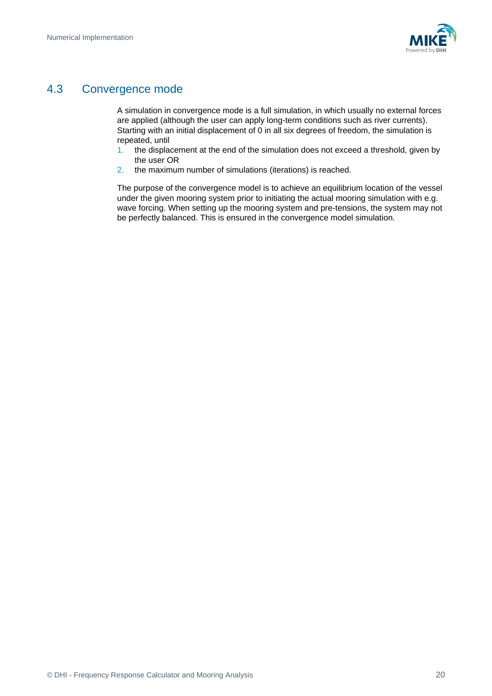

## <span id="page-24-0"></span>4.3 Convergence mode

A simulation in convergence mode is a full simulation, in which usually no external forces are applied (although the user can apply long-term conditions such as river currents). Starting with an initial displacement of 0 in all six degrees of freedom, the simulation is repeated, until

- 1. the displacement at the end of the simulation does not exceed a threshold, given by the user OR
- 2. the maximum number of simulations (iterations) is reached.

The purpose of the convergence model is to achieve an equilibrium location of the vessel under the given mooring system prior to initiating the actual mooring simulation with e.g. wave forcing. When setting up the mooring system and pre-tensions, the system may not be perfectly balanced. This is ensured in the convergence model simulation.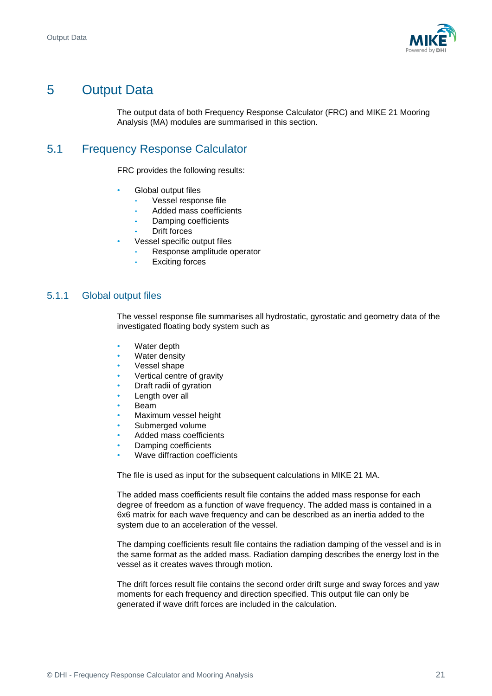

## <span id="page-25-0"></span>5 Output Data

The output data of both Frequency Response Calculator (FRC) and MIKE 21 Mooring Analysis (MA) modules are summarised in this section.

## 5.1 Frequency Response Calculator

FRC provides the following results:

- Global output files
	- **-** Vessel response file
	- **-** Added mass coefficients
	- **-** Damping coefficients
	- **-** Drift forces
	- Vessel specific output files
		- **-** Response amplitude operator
		- **-** Exciting forces

### 5.1.1 Global output files

The vessel response file summarises all hydrostatic, gyrostatic and geometry data of the investigated floating body system such as

- Water depth
- Water density
- Vessel shape
- Vertical centre of gravity
- Draft radii of gyration
- Length over all
- Beam
- Maximum vessel height
- Submerged volume
- Added mass coefficients
- Damping coefficients
- Wave diffraction coefficients

The file is used as input for the subsequent calculations in MIKE 21 MA.

The added mass coefficients result file contains the added mass response for each degree of freedom as a function of wave frequency. The added mass is contained in a 6x6 matrix for each wave frequency and can be described as an inertia added to the system due to an acceleration of the vessel.

The damping coefficients result file contains the radiation damping of the vessel and is in the same format as the added mass. Radiation damping describes the energy lost in the vessel as it creates waves through motion.

The drift forces result file contains the second order drift surge and sway forces and yaw moments for each frequency and direction specified. This output file can only be generated if wave drift forces are included in the calculation.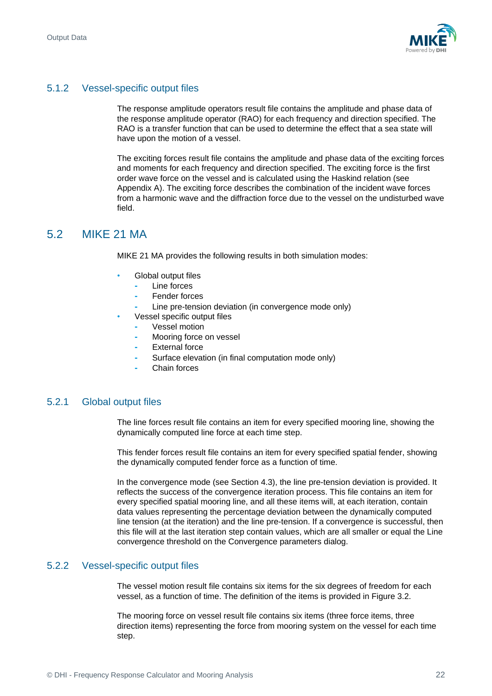

### 5.1.2 Vessel-specific output files

The response amplitude operators result file contains the amplitude and phase data of the response amplitude operator (RAO) for each frequency and direction specified. The RAO is a transfer function that can be used to determine the effect that a sea state will have upon the motion of a vessel.

The exciting forces result file contains the amplitude and phase data of the exciting forces and moments for each frequency and direction specified. The exciting force is the first order wave force on the vessel and is calculated using the Haskind relation (see Appendix [A\)](#page-31-0). The exciting force describes the combination of the incident wave forces from a harmonic wave and the diffraction force due to the vessel on the undisturbed wave field.

## 5.2 MIKE 21 MA

MIKE 21 MA provides the following results in both simulation modes:

- Global output files
	- **-** Line forces
	- **-** Fender forces
	- **-** Line pre-tension deviation (in convergence mode only)
	- Vessel specific output files
	- **-** Vessel motion
	- **-** Mooring force on vessel
	- **-** External force
	- **-** Surface elevation (in final computation mode only)
	- **-** Chain forces

#### 5.2.1 Global output files

The line forces result file contains an item for every specified mooring line, showing the dynamically computed line force at each time step.

This fender forces result file contains an item for every specified spatial fender, showing the dynamically computed fender force as a function of time.

In the convergence mode (see Sectio[n 4.3\)](#page-24-0), the line pre-tension deviation is provided. It reflects the success of the convergence iteration process. This file contains an item for every specified spatial mooring line, and all these items will, at each iteration, contain data values representing the percentage deviation between the dynamically computed line tension (at the iteration) and the line pre-tension. If a convergence is successful, then this file will at the last iteration step contain values, which are all smaller or equal the Line convergence threshold on the Convergence parameters dialog.

#### 5.2.2 Vessel-specific output files

The vessel motion result file contains six items for the six degrees of freedom for each vessel, as a function of time. The definition of the items is provided i[n Figure 3.2.](#page-8-0)

The mooring force on vessel result file contains six items (three force items, three direction items) representing the force from mooring system on the vessel for each time step.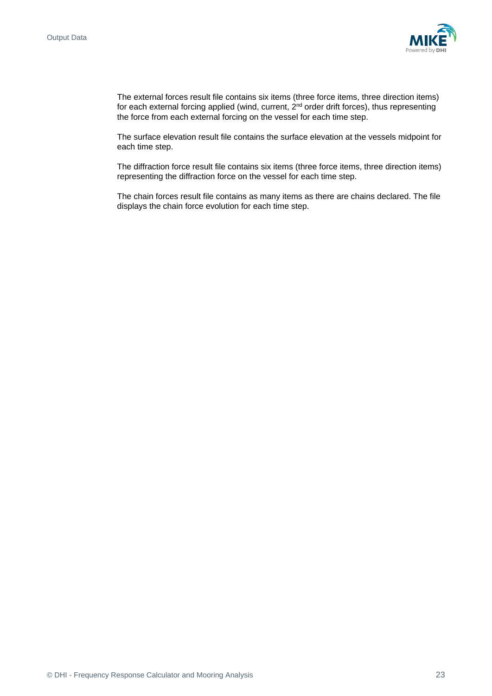

The external forces result file contains six items (three force items, three direction items) for each external forcing applied (wind, current,  $2<sup>nd</sup>$  order drift forces), thus representing the force from each external forcing on the vessel for each time step.

The surface elevation result file contains the surface elevation at the vessels midpoint for each time step.

The diffraction force result file contains six items (three force items, three direction items) representing the diffraction force on the vessel for each time step.

The chain forces result file contains as many items as there are chains declared. The file displays the chain force evolution for each time step.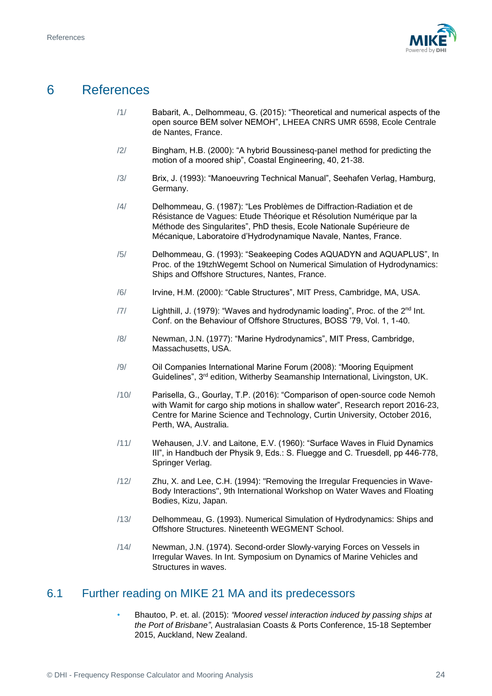

## <span id="page-28-2"></span><span id="page-28-1"></span>6 References

- /1/ Babarit, A., Delhommeau, G. (2015): "Theoretical and numerical aspects of the open source BEM solver NEMOH", LHEEA CNRS UMR 6598, Ecole Centrale de Nantes, France.
- /2/ Bingham, H.B. (2000): "A hybrid Boussinesq-panel method for predicting the motion of a moored ship", Coastal Engineering, 40, 21-38.
- <span id="page-28-11"></span>/3/ Brix, J. (1993): "Manoeuvring Technical Manual", Seehafen Verlag, Hamburg, Germany.
- <span id="page-28-0"></span>/4/ Delhommeau, G. (1987): "Les Problèmes de Diffraction-Radiation et de Résistance de Vagues: Etude Théorique et Résolution Numérique par la Méthode des Singularites", PhD thesis, Ecole Nationale Supérieure de Mécanique, Laboratoire d'Hydrodynamique Navale, Nantes, France.
- <span id="page-28-3"></span>/5/ Delhommeau, G. (1993): "Seakeeping Codes AQUADYN and AQUAPLUS", In Proc. of the 19tzhWegemt School on Numerical Simulation of Hydrodynamics: Ships and Offshore Structures, Nantes, France.
- <span id="page-28-9"></span>/6/ Irvine, H.M. (2000): "Cable Structures", MIT Press, Cambridge, MA, USA.
- $/7/$  Lighthill, J. (1979): "Waves and hydrodynamic loading", Proc. of the  $2<sup>nd</sup>$  Int. Conf. on the Behaviour of Offshore Structures, BOSS '79, Vol. 1, 1-40.
- <span id="page-28-5"></span>/8/ Newman, J.N. (1977): "Marine Hydrodynamics", MIT Press, Cambridge, Massachusetts, USA.
- <span id="page-28-10"></span>/9/ Oil Companies International Marine Forum (2008): "Mooring Equipment Guidelines", 3<sup>rd</sup> edition, Witherby Seamanship International, Livingston, UK.
- <span id="page-28-4"></span>/10/ Parisella, G., Gourlay, T.P. (2016): "Comparison of open-source code Nemoh with Wamit for cargo ship motions in shallow water", Research report 2016-23, Centre for Marine Science and Technology, Curtin University, October 2016, Perth, WA, Australia.
- <span id="page-28-8"></span>/11/ Wehausen, J.V. and Laitone, E.V. (1960): "Surface Waves in Fluid Dynamics III", in Handbuch der Physik 9, Eds.: S. Fluegge and C. Truesdell, pp 446-778, Springer Verlag.
- <span id="page-28-12"></span>/12/ Zhu, X. and Lee, C.H. (1994): "Removing the Irregular Frequencies in Wave-Body Interactions", 9th International Workshop on Water Waves and Floating Bodies, Kizu, Japan.
- <span id="page-28-6"></span>/13/ Delhommeau, G. (1993). Numerical Simulation of Hydrodynamics: Ships and Offshore Structures. Nineteenth WEGMENT School.
- /14/ Newman, J.N. (1974). Second-order Slowly-varying Forces on Vessels in Irregular Waves. In Int. Symposium on Dynamics of Marine Vehicles and Structures in waves.

## <span id="page-28-7"></span>6.1 Further reading on MIKE 21 MA and its predecessors

• Bhautoo, P. et. al. (2015): *"Moored vessel interaction induced by passing ships at the Port of Brisbane"*, Australasian Coasts & Ports Conference, 15-18 September 2015, Auckland, New Zealand.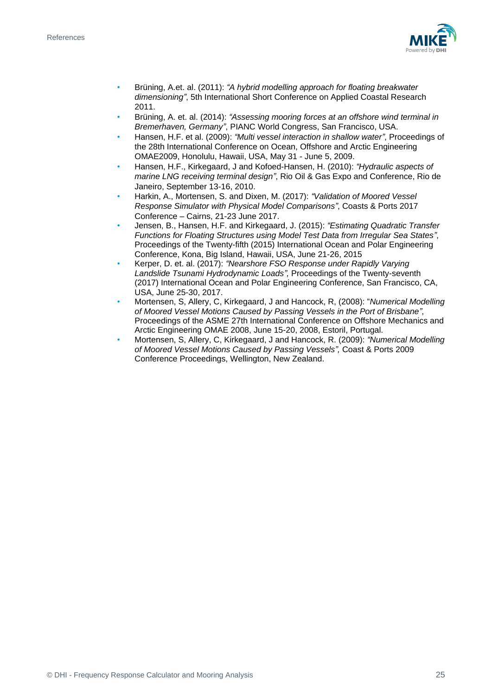

- Brüning, A.et. al. (2011): *"A hybrid modelling approach for floating breakwater dimensioning"*, 5th International Short Conference on Applied Coastal Research 2011.
- Brüning, A. et. al. (2014): *"Assessing mooring forces at an offshore wind terminal in Bremerhaven, Germany"*, PIANC World Congress, San Francisco, USA.
- Hansen, H.F. et al. (2009): *"Multi vessel interaction in shallow water"*, Proceedings of the 28th International Conference on Ocean, Offshore and Arctic Engineering OMAE2009, Honolulu, Hawaii, USA, May 31 - June 5, 2009.
- Hansen, H.F., Kirkegaard, J and Kofoed-Hansen, H. (2010): *"Hydraulic aspects of marine LNG receiving terminal design"*, Rio Oil & Gas Expo and Conference, Rio de Janeiro, September 13-16, 2010.
- Harkin, A., Mortensen, S. and Dixen, M. (2017): *"Validation of Moored Vessel Response Simulator with Physical Model Comparisons"*, Coasts & Ports 2017 Conference – Cairns, 21-23 June 2017.
- Jensen, B., Hansen, H.F. and Kirkegaard, J. (2015): *"Estimating Quadratic Transfer Functions for Floating Structures using Model Test Data from Irregular Sea States"*, Proceedings of the Twenty-fifth (2015) International Ocean and Polar Engineering Conference, Kona, Big Island, Hawaii, USA, June 21-26, 2015
- Kerper, D. et. al. (2017): *"Nearshore FSO Response under Rapidly Varying Landslide Tsunami Hydrodynamic Loads",* Proceedings of the Twenty-seventh (2017) International Ocean and Polar Engineering Conference, San Francisco, CA, USA, June 25-30, 2017.
- Mortensen, S, Allery, C, Kirkegaard, J and Hancock, R, (2008): "*Numerical Modelling of Moored Vessel Motions Caused by Passing Vessels in the Port of Brisbane"*, Proceedings of the ASME 27th International Conference on Offshore Mechanics and Arctic Engineering OMAE 2008, June 15-20, 2008, Estoril, Portugal.
- Mortensen, S, Allery, C, Kirkegaard, J and Hancock, R. (2009): *"Numerical Modelling of Moored Vessel Motions Caused by Passing Vessels",* Coast & Ports 2009 Conference Proceedings, Wellington, New Zealand.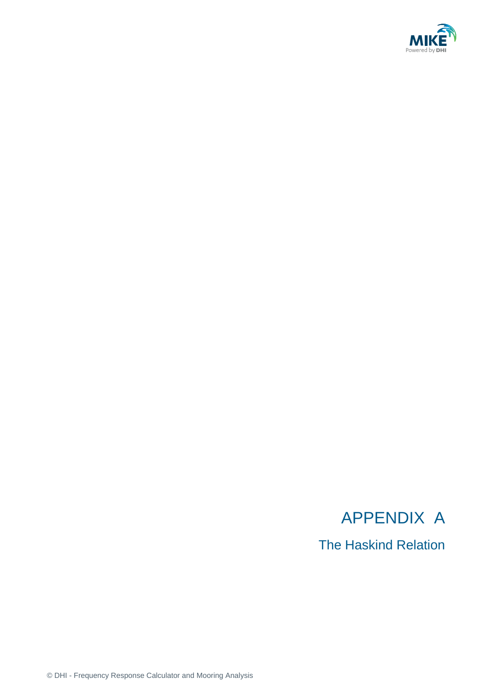

# APPENDIX A

The Haskind Relation